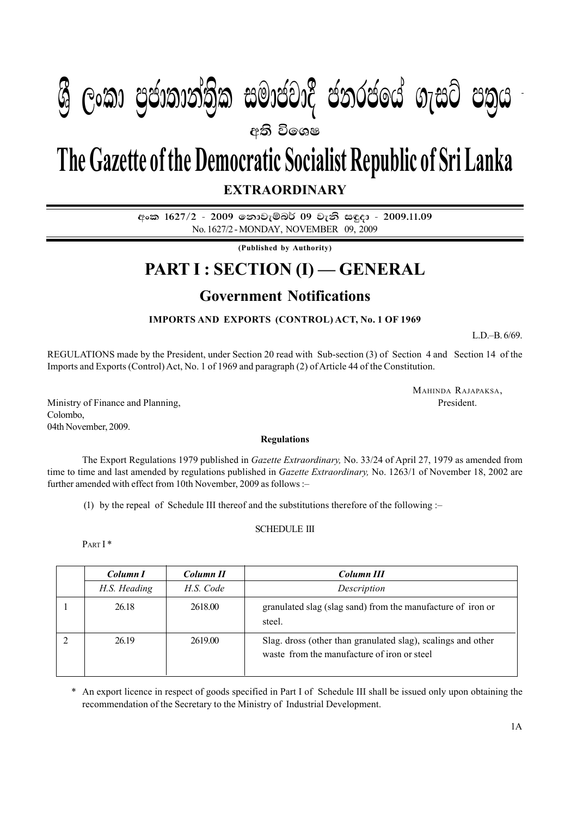## $\mathbf{A} \mathbf{A} = \mathbf{A} \mathbf{A} \mathbf{A} + \mathbf{A} \mathbf{A} \mathbf{A} + \mathbf{A} \mathbf{A} \mathbf{A}$  $P_{\rm 1.5}$  :  $P_{\rm 2.5}$   $P_{\rm 3.5}$   $P_{\rm 4.5}$   $P_{\rm 5.5}$   $P_{\rm 6.5}$   $P_{\rm 7.5}$   $P_{\rm 8.5}$   $P_{\rm 9.5}$   $P_{\rm 1.2}$ **අති වි**ගෙෂ  $\mathcal{P}(\mathcal{S}_{\mathcal{S}})$  යුදාගානාවාම සංකායයාර් යනුරයකය ගැසුර යන්

# **EXTRAORDINARY The Gazette of the Democratic Socialist Republic of Sri Lanka**

අංක 1627/2 - 2009 තොවැම්බර් 09 වැනි සඳුදා - 2009.11.09 No. 1627/2 - MONDAY, NOVEMBER 09, 2009

**(Published by Authority)**

## **PART I : SECTION (I) — GENERAL**

### **Government Notifications**

### **IMPORTS AND EXPORTS (CONTROL) ACT, No. 1 OF 1969**

L.D.–B. 6/69.

REGULATIONS made by the President, under Section 20 read with Sub-section (3) of Section 4 and Section 14 of the Imports and Exports (Control) Act, No. 1 of 1969 and paragraph (2) of Article 44 of the Constitution.

MAHINDA RAJAPAKSA,

Ministry of Finance and Planning,  $\blacksquare$ Colombo, 04th November, 2009.

#### **Regulations**

The Export Regulations 1979 published in *Gazette Extraordinary,* No. 33/24 of April 27, 1979 as amended from time to time and last amended by regulations published in *Gazette Extraordinary,* No. 1263/1 of November 18, 2002 are further amended with effect from 10th November, 2009 as follows :–

(1) by the repeal of Schedule III thereof and the substitutions therefore of the following :–

#### SCHEDULE III

PART I\*

| Column I     | Column II | Column III                                                                                                  |
|--------------|-----------|-------------------------------------------------------------------------------------------------------------|
| H.S. Heading | H.S. Code | Description                                                                                                 |
| 26.18        | 2618.00   | granulated slag (slag sand) from the manufacture of iron or<br>steel.                                       |
| 26.19        | 2619.00   | Slag. dross (other than granulated slag), scalings and other<br>waste from the manufacture of iron or steel |

\* An export licence in respect of goods specified in Part I of Schedule III shall be issued only upon obtaining the recommendation of the Secretary to the Ministry of Industrial Development.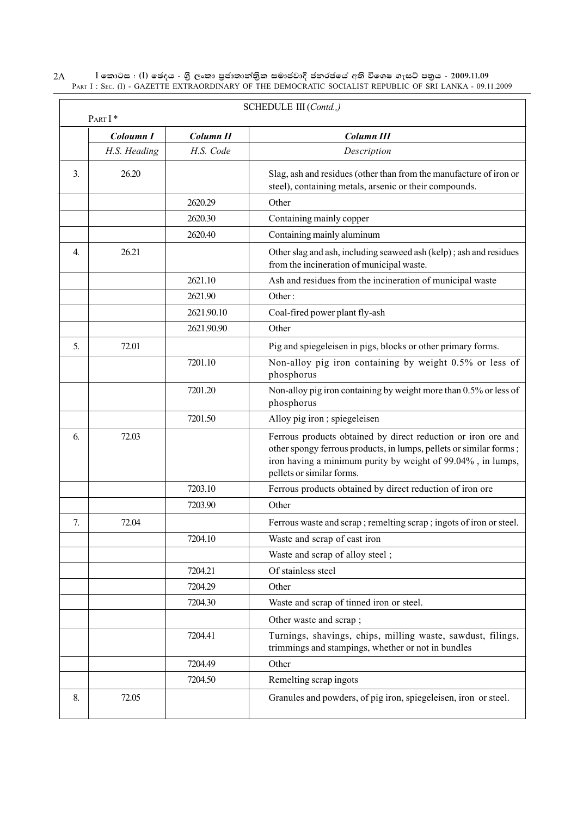$\rm I$  කොටස : ( $\rm I$ ) ඡෙදය - ශුී ලංකා පුජාතාන්තිුක සමාජවාදී ජනරජයේ අති විශෙෂ ගැසට් පතුය - 2009.11.09 PART I : SEC. (I) - GAZETTE EXTRAORDINARY OF THE DEMOCRATIC SOCIALIST REPUBLIC OF SRI LANKA - 09.11.2009 2A

|              | PART I*      |                  | SCHEDULE III (Contd.,)                                                                                                                                                                                                          |
|--------------|--------------|------------------|---------------------------------------------------------------------------------------------------------------------------------------------------------------------------------------------------------------------------------|
|              | Coloumn I    | <b>Column II</b> | <b>Column III</b>                                                                                                                                                                                                               |
|              | H.S. Heading | H.S. Code        | Description                                                                                                                                                                                                                     |
| 3.           | 26.20        |                  | Slag, ash and residues (other than from the manufacture of iron or<br>steel), containing metals, arsenic or their compounds.                                                                                                    |
|              |              | 2620.29          | Other                                                                                                                                                                                                                           |
|              |              | 2620.30          | Containing mainly copper                                                                                                                                                                                                        |
|              |              | 2620.40          | Containing mainly aluminum                                                                                                                                                                                                      |
| $\mathbf{4}$ | 26.21        |                  | Other slag and ash, including seaweed ash (kelp); ash and residues<br>from the incineration of municipal waste.                                                                                                                 |
|              |              | 2621.10          | Ash and residues from the incineration of municipal waste                                                                                                                                                                       |
|              |              | 2621.90          | Other:                                                                                                                                                                                                                          |
|              |              | 2621.90.10       | Coal-fired power plant fly-ash                                                                                                                                                                                                  |
|              |              | 2621.90.90       | Other                                                                                                                                                                                                                           |
| 5.           | 72.01        |                  | Pig and spiegeleisen in pigs, blocks or other primary forms.                                                                                                                                                                    |
|              |              | 7201.10          | Non-alloy pig iron containing by weight 0.5% or less of<br>phosphorus                                                                                                                                                           |
|              |              | 7201.20          | Non-alloy pig iron containing by weight more than 0.5% or less of<br>phosphorus                                                                                                                                                 |
|              |              | 7201.50          | Alloy pig iron; spiegeleisen                                                                                                                                                                                                    |
| 6.           | 72.03        |                  | Ferrous products obtained by direct reduction or iron ore and<br>other spongy ferrous products, in lumps, pellets or similar forms;<br>iron having a minimum purity by weight of 99.04%, in lumps,<br>pellets or similar forms. |
|              |              | 7203.10          | Ferrous products obtained by direct reduction of iron ore                                                                                                                                                                       |
|              |              | 7203.90          | Other                                                                                                                                                                                                                           |
| 7.           | 72.04        |                  | Ferrous waste and scrap ; remelting scrap ; ingots of iron or steel.                                                                                                                                                            |
|              |              | 7204.10          | Waste and scrap of cast iron                                                                                                                                                                                                    |
|              |              |                  | Waste and scrap of alloy steel;                                                                                                                                                                                                 |
|              |              | 7204.21          | Of stainless steel                                                                                                                                                                                                              |
|              |              | 7204.29          | Other                                                                                                                                                                                                                           |
|              |              | 7204.30          | Waste and scrap of tinned iron or steel.                                                                                                                                                                                        |
|              |              |                  | Other waste and scrap;                                                                                                                                                                                                          |
|              |              | 7204.41          | Turnings, shavings, chips, milling waste, sawdust, filings,<br>trimmings and stampings, whether or not in bundles                                                                                                               |
|              |              | 7204.49          | Other                                                                                                                                                                                                                           |
|              |              | 7204.50          | Remelting scrap ingots                                                                                                                                                                                                          |
| 8.           | 72.05        |                  | Granules and powders, of pig iron, spiegeleisen, iron or steel.                                                                                                                                                                 |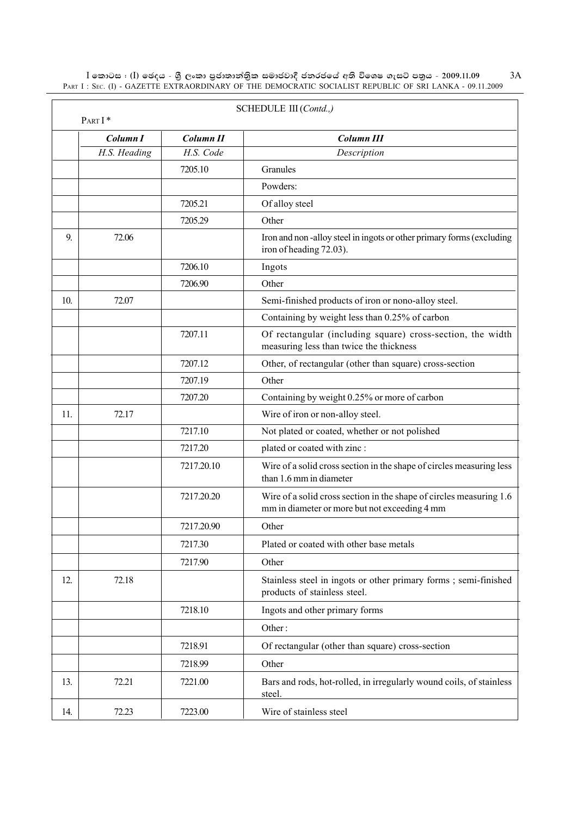$\,$ I කොටස : ( $\,$ I) ඡෙදය - ශුී ලංකා පුජාතාන්තිුක සමාජවාදී ජනරජයේ අති විශෙෂ ගැසට් පතුය - 2009.11.09 PART I : SEC. (I) - GAZETTE EXTRAORDINARY OF THE DEMOCRATIC SOCIALIST REPUBLIC OF SRI LANKA - 09.11.2009

| PART I* |              |            | SCHEDULE III (Contd.,)                                                                                               |
|---------|--------------|------------|----------------------------------------------------------------------------------------------------------------------|
|         | Column I     | Column II  | <b>Column III</b>                                                                                                    |
|         | H.S. Heading | H.S. Code  | Description                                                                                                          |
|         |              | 7205.10    | Granules                                                                                                             |
|         |              |            | Powders:                                                                                                             |
|         |              | 7205.21    | Of alloy steel                                                                                                       |
|         |              | 7205.29    | Other                                                                                                                |
| 9       | 72.06        |            | Iron and non-alloy steel in ingots or other primary forms (excluding<br>iron of heading 72.03).                      |
|         |              | 7206.10    | Ingots                                                                                                               |
|         |              | 7206.90    | Other                                                                                                                |
| 10.     | 72.07        |            | Semi-finished products of iron or nono-alloy steel.                                                                  |
|         |              |            | Containing by weight less than 0.25% of carbon                                                                       |
|         |              | 7207.11    | Of rectangular (including square) cross-section, the width<br>measuring less than twice the thickness                |
|         |              | 7207.12    | Other, of rectangular (other than square) cross-section                                                              |
|         |              | 7207.19    | Other                                                                                                                |
|         |              | 7207.20    | Containing by weight 0.25% or more of carbon                                                                         |
| 11.     | 72.17        |            | Wire of iron or non-alloy steel.                                                                                     |
|         |              | 7217.10    | Not plated or coated, whether or not polished                                                                        |
|         |              | 7217.20    | plated or coated with zinc :                                                                                         |
|         |              | 7217.20.10 | Wire of a solid cross section in the shape of circles measuring less<br>than 1.6 mm in diameter                      |
|         |              | 7217.20.20 | Wire of a solid cross section in the shape of circles measuring 1.6<br>mm in diameter or more but not exceeding 4 mm |
|         |              | 7217.20.90 | Other                                                                                                                |
|         |              | 7217.30    | Plated or coated with other base metals                                                                              |
|         |              | 7217.90    | Other                                                                                                                |
| 12.     | 72.18        |            | Stainless steel in ingots or other primary forms; semi-finished<br>products of stainless steel.                      |
|         |              | 7218.10    | Ingots and other primary forms                                                                                       |
|         |              |            | Other:                                                                                                               |
|         |              | 7218.91    | Of rectangular (other than square) cross-section                                                                     |
|         |              | 7218.99    | Other                                                                                                                |
| 13.     | 72.21        | 7221.00    | Bars and rods, hot-rolled, in irregularly wound coils, of stainless<br>steel.                                        |
| 14.     | 72.23        | 7223.00    | Wire of stainless steel                                                                                              |

3A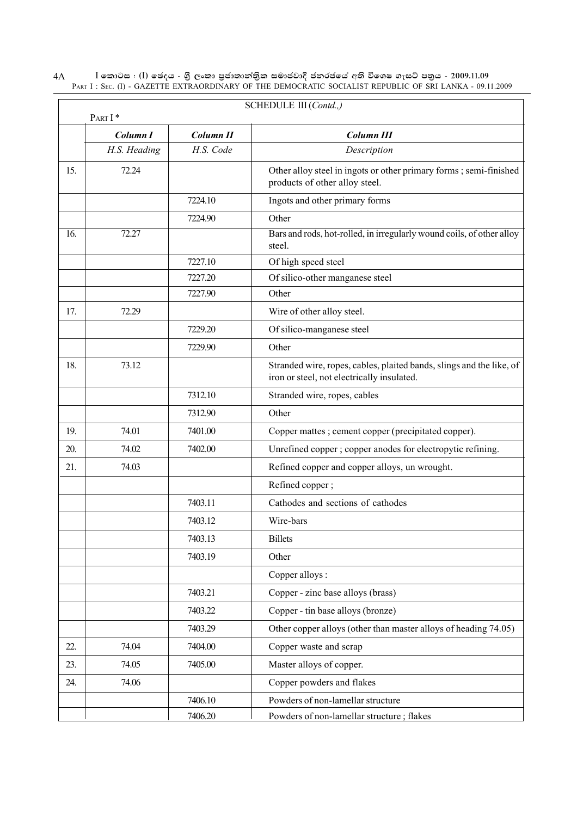$\rm I$  කොටස : ( $\rm I$ ) ඡෙදය - ශුී ලංකා පුජාතාන්තිුක සමාජවාදී ජනරජයේ අති විශෙෂ ගැසට් පතුය - 2009.11.09 PART I : SEC. (I) - GAZETTE EXTRAORDINARY OF THE DEMOCRATIC SOCIALIST REPUBLIC OF SRI LANKA - 09.11.2009 4A

|     | SCHEDULE III (Contd.,)<br>PART I* |           |                                                                                                                    |
|-----|-----------------------------------|-----------|--------------------------------------------------------------------------------------------------------------------|
|     | Column I                          | Column II | <b>Column III</b>                                                                                                  |
|     | H.S. Heading                      | H.S. Code | Description                                                                                                        |
| 15. | 72.24                             |           | Other alloy steel in ingots or other primary forms; semi-finished<br>products of other alloy steel.                |
|     |                                   | 7224.10   | Ingots and other primary forms                                                                                     |
|     |                                   | 7224.90   | Other                                                                                                              |
| 16. | 72.27                             |           | Bars and rods, hot-rolled, in irregularly wound coils, of other alloy<br>steel.                                    |
|     |                                   | 7227.10   | Of high speed steel                                                                                                |
|     |                                   | 7227.20   | Of silico-other manganese steel                                                                                    |
|     |                                   | 7227.90   | Other                                                                                                              |
| 17. | 72.29                             |           | Wire of other alloy steel.                                                                                         |
|     |                                   | 7229.20   | Of silico-manganese steel                                                                                          |
|     |                                   | 7229.90   | Other                                                                                                              |
| 18. | 73.12                             |           | Stranded wire, ropes, cables, plaited bands, slings and the like, of<br>iron or steel, not electrically insulated. |
|     |                                   | 7312.10   | Stranded wire, ropes, cables                                                                                       |
|     |                                   | 7312.90   | Other                                                                                                              |
| 19. | 74.01                             | 7401.00   | Copper mattes ; cement copper (precipitated copper).                                                               |
| 20. | 74.02                             | 7402.00   | Unrefined copper ; copper anodes for electropytic refining.                                                        |
| 21. | 74.03                             |           | Refined copper and copper alloys, un wrought.                                                                      |
|     |                                   |           | Refined copper;                                                                                                    |
|     |                                   | 7403.11   | Cathodes and sections of cathodes                                                                                  |
|     |                                   | 7403.12   | Wire-bars                                                                                                          |
|     |                                   | 7403.13   | <b>Billets</b>                                                                                                     |
|     |                                   | 7403.19   | Other                                                                                                              |
|     |                                   |           | Copper alloys:                                                                                                     |
|     |                                   | 7403.21   | Copper - zinc base alloys (brass)                                                                                  |
|     |                                   | 7403.22   | Copper - tin base alloys (bronze)                                                                                  |
|     |                                   | 7403.29   | Other copper alloys (other than master alloys of heading 74.05)                                                    |
| 22. | 74.04                             | 7404.00   | Copper waste and scrap                                                                                             |
| 23. | 74.05                             | 7405.00   | Master alloys of copper.                                                                                           |
| 24. | 74.06                             |           | Copper powders and flakes                                                                                          |
|     |                                   | 7406.10   | Powders of non-lamellar structure                                                                                  |
|     |                                   | 7406.20   | Powders of non-lamellar structure; flakes                                                                          |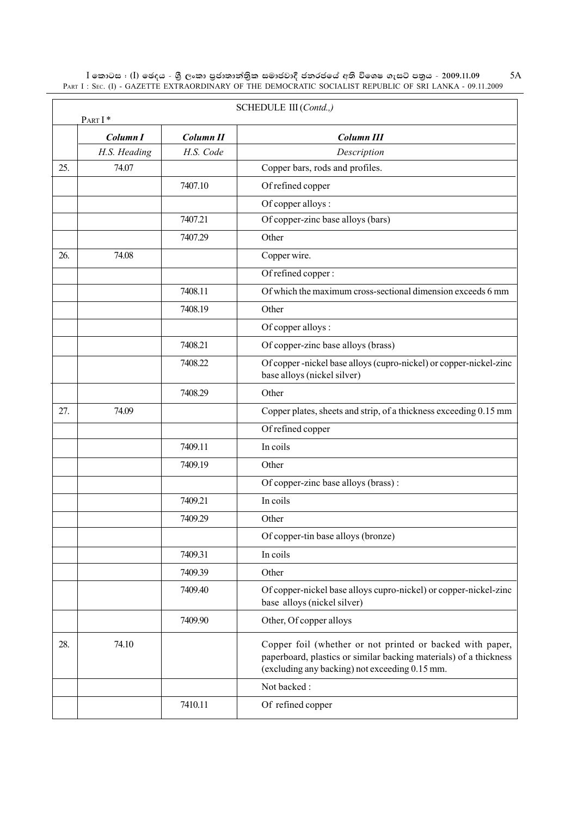$\,$ I කොටස : ( $\,$ I) ඡෙදය - ශුී ලංකා පුජාතාන්තිුක සමාජවාදී ජනරජයේ අති විශෙෂ ගැසට් පතුය - 2009.11.09 PART I : SEC. (I) - GAZETTE EXTRAORDINARY OF THE DEMOCRATIC SOCIALIST REPUBLIC OF SRI LANKA - 09.11.2009 5A

|     | PART I*             |           | SCHEDULE III (Contd.,)                                                                                                                                                           |
|-----|---------------------|-----------|----------------------------------------------------------------------------------------------------------------------------------------------------------------------------------|
|     | Column <sub>I</sub> | Column II | <b>Column III</b>                                                                                                                                                                |
|     | H.S. Heading        | H.S. Code | Description                                                                                                                                                                      |
| 25. | 74.07               |           | Copper bars, rods and profiles.                                                                                                                                                  |
|     |                     | 7407.10   | Of refined copper                                                                                                                                                                |
|     |                     |           | Of copper alloys:                                                                                                                                                                |
|     |                     | 7407.21   | Of copper-zinc base alloys (bars)                                                                                                                                                |
|     |                     | 7407.29   | Other                                                                                                                                                                            |
| 26. | 74.08               |           | Copper wire.                                                                                                                                                                     |
|     |                     |           | Of refined copper:                                                                                                                                                               |
|     |                     | 7408.11   | Of which the maximum cross-sectional dimension exceeds 6 mm                                                                                                                      |
|     |                     | 7408.19   | Other                                                                                                                                                                            |
|     |                     |           | Of copper alloys :                                                                                                                                                               |
|     |                     | 7408.21   | Of copper-zinc base alloys (brass)                                                                                                                                               |
|     |                     | 7408.22   | Of copper-nickel base alloys (cupro-nickel) or copper-nickel-zinc<br>base alloys (nickel silver)                                                                                 |
|     |                     | 7408.29   | Other                                                                                                                                                                            |
| 27. | 74.09               |           | Copper plates, sheets and strip, of a thickness exceeding 0.15 mm                                                                                                                |
|     |                     |           | Of refined copper                                                                                                                                                                |
|     |                     | 7409.11   | In coils                                                                                                                                                                         |
|     |                     | 7409.19   | Other                                                                                                                                                                            |
|     |                     |           | Of copper-zinc base alloys (brass):                                                                                                                                              |
|     |                     | 7409.21   | In coils                                                                                                                                                                         |
|     |                     | 7409.29   | Other                                                                                                                                                                            |
|     |                     |           | Of copper-tin base alloys (bronze)                                                                                                                                               |
|     |                     | 7409.31   | In coils                                                                                                                                                                         |
|     |                     | 7409.39   | Other                                                                                                                                                                            |
|     |                     | 7409.40   | Of copper-nickel base alloys cupro-nickel) or copper-nickel-zinc<br>base alloys (nickel silver)                                                                                  |
|     |                     | 7409.90   | Other, Of copper alloys                                                                                                                                                          |
| 28. | 74.10               |           | Copper foil (whether or not printed or backed with paper,<br>paperboard, plastics or similar backing materials) of a thickness<br>(excluding any backing) not exceeding 0.15 mm. |
|     |                     |           | Not backed:                                                                                                                                                                      |
|     |                     | 7410.11   | Of refined copper                                                                                                                                                                |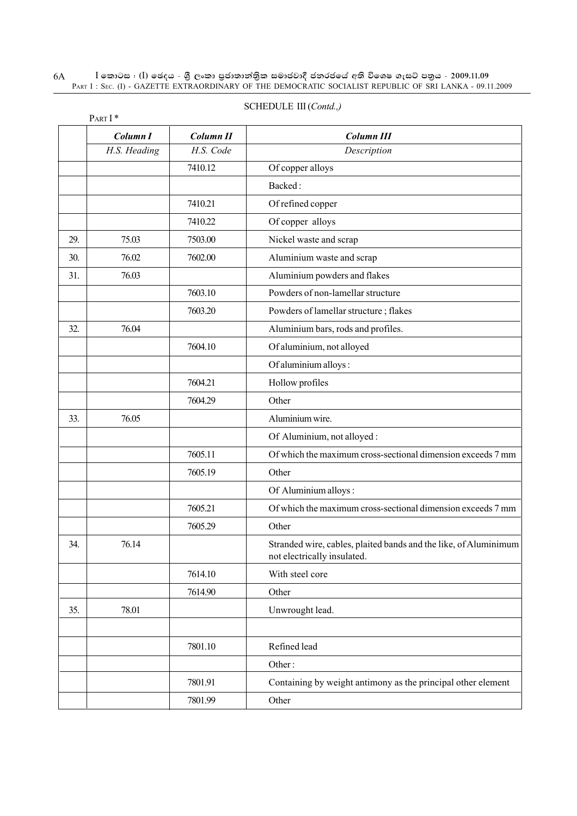#### $\rm I$  කොටස : ( $\rm I$ ) ඡෙදය - ශුී ලංකා පුජාතාන්තිුක සමාජවාදී ජනරජයේ අති විශෙෂ ගැසට් පතුය - 2009.11.09 PART I : SEC. (I) - GAZETTE EXTRAORDINARY OF THE DEMOCRATIC SOCIALIST REPUBLIC OF SRI LANKA - 09.11.2009 6A

|     | PART I*      |                      |                                                                                                 |
|-----|--------------|----------------------|-------------------------------------------------------------------------------------------------|
|     | Column I     | Column <sub>II</sub> | <b>Column III</b>                                                                               |
|     | H.S. Heading | H.S. Code            | Description                                                                                     |
|     |              | 7410.12              | Of copper alloys                                                                                |
|     |              |                      | Backed:                                                                                         |
|     |              | 7410.21              | Of refined copper                                                                               |
|     |              | 7410.22              | Of copper alloys                                                                                |
| 29. | 75.03        | 7503.00              | Nickel waste and scrap                                                                          |
| 30. | 76.02        | 7602.00              | Aluminium waste and scrap                                                                       |
| 31. | 76.03        |                      | Aluminium powders and flakes                                                                    |
|     |              | 7603.10              | Powders of non-lamellar structure                                                               |
|     |              | 7603.20              | Powders of lamellar structure; flakes                                                           |
| 32. | 76.04        |                      | Aluminium bars, rods and profiles.                                                              |
|     |              | 7604.10              | Of aluminium, not alloyed                                                                       |
|     |              |                      | Of aluminium alloys:                                                                            |
|     |              | 7604.21              | Hollow profiles                                                                                 |
|     |              | 7604.29              | Other                                                                                           |
| 33. | 76.05        |                      | Aluminium wire.                                                                                 |
|     |              |                      | Of Aluminium, not alloyed:                                                                      |
|     |              | 7605.11              | Of which the maximum cross-sectional dimension exceeds 7 mm                                     |
|     |              | 7605.19              | Other                                                                                           |
|     |              |                      | Of Aluminium alloys:                                                                            |
|     |              | 7605.21              | Of which the maximum cross-sectional dimension exceeds 7 mm                                     |
|     |              | 7605.29              | Other                                                                                           |
| 34. | 76.14        |                      | Stranded wire, cables, plaited bands and the like, of Aluminimum<br>not electrically insulated. |
|     |              | 7614.10              | With steel core                                                                                 |
|     |              | 7614.90              | Other                                                                                           |
| 35. | 78.01        |                      | Unwrought lead.                                                                                 |
|     |              |                      |                                                                                                 |
|     |              | 7801.10              | Refined lead                                                                                    |
|     |              |                      | Other:                                                                                          |
|     |              | 7801.91              | Containing by weight antimony as the principal other element                                    |
|     |              | 7801.99              | Other                                                                                           |
|     |              |                      |                                                                                                 |

### SCHEDULE III (*Contd.,)*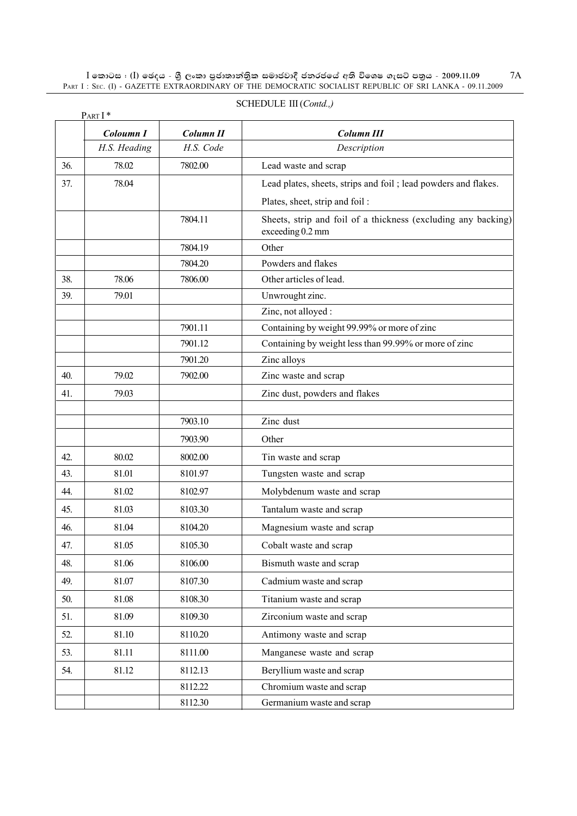$\,$ I කොටස : ( $\,$ I) ඡෙදය - ශුී ලංකා පුජාතාන්තිුක සමාජවාදී ජනරජයේ අති විශෙෂ ගැසට් පතුය - 2009.11.09 PART I : SEC. (I) - GAZETTE EXTRAORDINARY OF THE DEMOCRATIC SOCIALIST REPUBLIC OF SRI LANKA - 09.11.2009

|     | PART I*      |           |                                                                                   |  |
|-----|--------------|-----------|-----------------------------------------------------------------------------------|--|
|     | Coloumn I    | Column II | <b>Column III</b>                                                                 |  |
|     | H.S. Heading | H.S. Code | Description                                                                       |  |
| 36. | 78.02        | 7802.00   | Lead waste and scrap                                                              |  |
| 37. | 78.04        |           | Lead plates, sheets, strips and foil; lead powders and flakes.                    |  |
|     |              |           | Plates, sheet, strip and foil:                                                    |  |
|     |              | 7804.11   | Sheets, strip and foil of a thickness (excluding any backing)<br>exceeding 0.2 mm |  |
|     |              | 7804.19   | Other                                                                             |  |
|     |              | 7804.20   | Powders and flakes                                                                |  |
| 38. | 78.06        | 7806.00   | Other articles of lead.                                                           |  |
| 39. | 79.01        |           | Unwrought zinc.                                                                   |  |
|     |              |           | Zinc, not alloyed:                                                                |  |
|     |              | 7901.11   | Containing by weight 99.99% or more of zinc                                       |  |
|     |              | 7901.12   | Containing by weight less than 99.99% or more of zinc                             |  |
|     |              | 7901.20   | Zinc alloys                                                                       |  |
| 40. | 79.02        | 7902.00   | Zinc waste and scrap                                                              |  |
| 41. | 79.03        |           | Zinc dust, powders and flakes                                                     |  |
|     |              |           |                                                                                   |  |
|     |              | 7903.10   | Zinc dust                                                                         |  |
|     |              | 7903.90   | Other                                                                             |  |
| 42. | 80.02        | 8002.00   | Tin waste and scrap                                                               |  |
| 43. | 81.01        | 8101.97   | Tungsten waste and scrap                                                          |  |
| 44. | 81.02        | 8102.97   | Molybdenum waste and scrap                                                        |  |
| 45. | 81.03        | 8103.30   | Tantalum waste and scrap                                                          |  |
| 46. | 81.04        | 8104.20   | Magnesium waste and scrap                                                         |  |
| 47. | 81.05        | 8105.30   | Cobalt waste and scrap                                                            |  |
| 48. | 81.06        | 8106.00   | Bismuth waste and scrap                                                           |  |
| 49. | 81.07        | 8107.30   | Cadmium waste and scrap                                                           |  |
| 50. | 81.08        | 8108.30   | Titanium waste and scrap                                                          |  |
| 51. | 81.09        | 8109.30   | Zirconium waste and scrap                                                         |  |
| 52. | 81.10        | 8110.20   | Antimony waste and scrap                                                          |  |
| 53. | 81.11        | 8111.00   | Manganese waste and scrap                                                         |  |
| 54. | 81.12        | 8112.13   | Beryllium waste and scrap                                                         |  |
|     |              | 8112.22   | Chromium waste and scrap                                                          |  |
|     |              | 8112.30   | Germanium waste and scrap                                                         |  |

#### SCHEDULE III (*Contd.,)*

7A